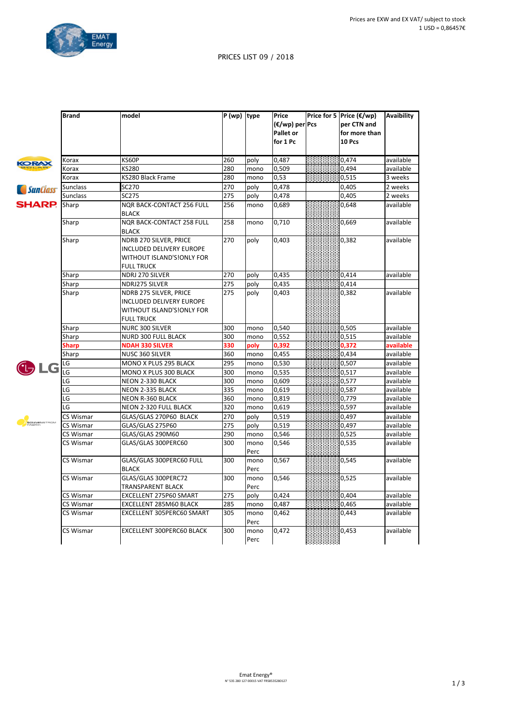

## PRICES LIST 09 / 2018

|                       | <b>Brand</b>    | model                                                                                                | $\overline{P(wp)}$ type |              | Price<br>$(\epsilon/wp)$ per Pcs<br><b>Pallet or</b><br>for 1 Pc | Price for 5   Price $(\epsilon/wp)$<br>per CTN and<br>for more than<br>10 Pcs | <b>Avaibility</b> |
|-----------------------|-----------------|------------------------------------------------------------------------------------------------------|-------------------------|--------------|------------------------------------------------------------------|-------------------------------------------------------------------------------|-------------------|
| <b>KORAX</b>          | Korax           | KS60P                                                                                                | 260                     | poly         | 0,487                                                            | 0,474                                                                         | available         |
|                       | Korax           | KS280                                                                                                | 280                     | mono         | 0,509                                                            | 0,494                                                                         | available         |
|                       | Korax           | KS280 Black Frame                                                                                    | 280                     | mono         | 0,53                                                             | 0,515                                                                         | 3 weeks           |
| <i>SunClass</i>       | <b>Sunclass</b> | SC270                                                                                                | 270                     | poly         | 0,478                                                            | 0,405                                                                         | 2 weeks           |
|                       | <b>Sunclass</b> | <b>SC275</b>                                                                                         | 275                     | poly         | 0,478                                                            | 0,405                                                                         | 2 weeks           |
| <b>SHARP.</b>         | Sharp           | <b>NQR BACK-CONTACT 256 FULL</b><br><b>BLACK</b>                                                     | 256                     | mono         | 0,689                                                            | 0,648                                                                         | available         |
|                       | Sharp           | <b>NQR BACK-CONTACT 258 FULL</b><br><b>BLACK</b>                                                     | 258                     | mono         | 0,710                                                            | 0,669                                                                         | available         |
|                       | Sharp           | NDRB 270 SILVER, PRICE<br>INCLUDED DELIVERY EUROPE<br>WITHOUT ISLAND'S!ONLY FOR<br><b>FULL TRUCK</b> | 270                     | poly         | 0,403                                                            | 0,382                                                                         | available         |
|                       | Sharp           | NDRJ 270 SILVER                                                                                      | 270                     | poly         | 0,435                                                            | 0,414                                                                         | available         |
|                       | Sharp           | NDRJ275 SILVER                                                                                       | 275                     | poly         | 0,435                                                            | 0,414                                                                         |                   |
|                       | Sharp           | NDRB 275 SILVER, PRICE<br>INCLUDED DELIVERY EUROPE<br>WITHOUT ISLAND'S!ONLY FOR<br><b>FULL TRUCK</b> | 275                     | poly         | 0,403                                                            | 0,382                                                                         | available         |
|                       | Sharp           | NURC 300 SILVER                                                                                      | 300                     | mono         | 0,540                                                            | 0,505                                                                         | available         |
|                       | Sharp           | NURD 300 FULL BLACK                                                                                  | 300                     | mono         | 0,552                                                            | 0,515                                                                         | available         |
|                       | Sharp           | <b>NDAH 330 SILVER</b>                                                                               | 330                     | poly         | 0,392                                                            | 0,372                                                                         | available         |
|                       | Sharp           | NUSC 360 SILVER                                                                                      | 360                     | mono         | 0,455                                                            | 0,434                                                                         | available         |
| LG                    | LG              | MONO X PLUS 295 BLACK                                                                                | 295                     | mono         | 0,530                                                            | 0,507                                                                         | available         |
|                       | -G              | MONO X PLUS 300 BLACK                                                                                | 300                     | mono         | 0,535                                                            | 0,517                                                                         | available         |
|                       | LG              | NEON 2-330 BLACK                                                                                     | 300                     | mono         | 0,609                                                            | 0,577                                                                         | available         |
|                       | LG              | NEON 2-335 BLACK                                                                                     | 335                     | mono         | 0,619                                                            | 0,587                                                                         | available         |
|                       | LG              | <b>NEON R-360 BLACK</b>                                                                              | 360                     | mono         | 0,819                                                            | 0,779                                                                         | available         |
|                       | LG              | NEON 2-320 FULL BLACK                                                                                | 320                     | mono         | 0,619                                                            | 0,597                                                                         | available         |
| SONNENSTROM<br>FABRIK | CS Wismar       | GLAS/GLAS 270P60 BLACK                                                                               | 270                     | poly         | 0,519                                                            | 0,497                                                                         | available         |
|                       | CS Wismar       | GLAS/GLAS 275P60                                                                                     | 275                     | poly         | 0,519                                                            | 0,497                                                                         | available         |
|                       | CS Wismar       | GLAS/GLAS 290M60                                                                                     | 290                     | mono         | 0,546                                                            | 0,525                                                                         | available         |
|                       | CS Wismar       | GLAS/GLAS 300PERC60                                                                                  | 300                     | mono<br>Perc | 0,546                                                            | 0,535                                                                         | available         |
|                       | CS Wismar       | GLAS/GLAS 300PERC60 FULL<br><b>BLACK</b>                                                             | 300                     | mono<br>Perc | 0,567                                                            | 0,545                                                                         | available         |
|                       | CS Wismar       | GLAS/GLAS 300PERC72<br><b>TRANSPARENT BLACK</b>                                                      | 300                     | mono<br>Perc | 0,546                                                            | 0,525                                                                         | available         |
|                       | CS Wismar       | EXCELLENT 275P60 SMART                                                                               | 275                     | poly         | 0,424                                                            | 0,404                                                                         | available         |
|                       | CS Wismar       | EXCELLENT 285M60 BLACK                                                                               | 285                     | mono         | 0,487                                                            | 0,465                                                                         | available         |
|                       | CS Wismar       | EXCELLENT 305PERC60 SMART                                                                            | 305                     | mono<br>Perc | 0,462                                                            | 0,443                                                                         | available         |
|                       | CS Wismar       | EXCELLENT 300PERC60 BLACK                                                                            | 300                     | mono<br>Perc | 0,472                                                            | 0,453                                                                         | available         |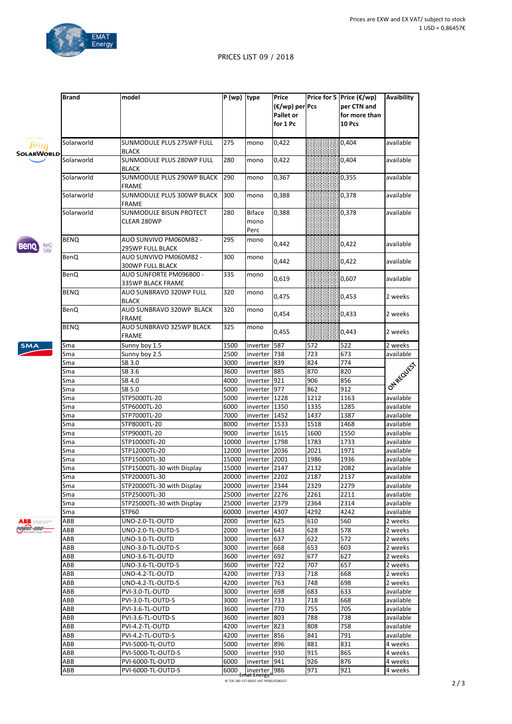

## PRICES LIST 09 / 2018

|                                         | <b>Brand</b> | model                                          | P (wp)  type |                                        | Price<br>$(\epsilon/wp)$ per Pcs<br>Pallet or<br>for 1 Pc |      | Price for 5 Price (€/wp)<br>per CTN and<br>for more than<br>10 Pcs | Avaibility       |
|-----------------------------------------|--------------|------------------------------------------------|--------------|----------------------------------------|-----------------------------------------------------------|------|--------------------------------------------------------------------|------------------|
| Шщ<br>SOLARWORLD                        | Solarworld   | SUNMODULE PLUS 275WP FULL<br><b>BLACK</b>      | 275          | mono                                   | 0,422                                                     |      | 0,404                                                              | available        |
|                                         | Solarworld   | SUNMODULE PLUS 280WP FULL<br><b>BLACK</b>      | 280          | mono                                   | 0,422                                                     |      | 0,404                                                              | available        |
|                                         | Solarworld   | SUNMODULE PLUS 290WP BLACK<br><b>FRAME</b>     | 290          | mono                                   | 0,367                                                     |      | 0,355                                                              | available        |
|                                         | Solarworld   | SUNMODULE PLUS 300WP BLACK 300<br><b>FRAME</b> |              | mono                                   | 0,388                                                     |      | 0,378                                                              | available        |
|                                         | Solarworld   | SUNMODULE BISUN PROTECT<br>CLEAR 280WP         | 280          | <b>Biface</b><br>mono<br>Perc          | 0,388                                                     |      | 0,378                                                              | available        |
| BenQ<br>Solar                           | <b>BENQ</b>  | AUO SUNVIVO PM060MB2 -<br>295WP FULL BLACK     | 295          | mono                                   | 0,442                                                     |      | 0,422                                                              | available        |
|                                         | BenQ         | AUO SUNVIVO PM060MB2 -<br>300WP FULL BLACK     | 300          | mono                                   | 0,442                                                     |      | 0,422                                                              | available        |
|                                         | BenQ         | AUO SUNFORTE PM096B00 -<br>335WP BLACK FRAME   | 335          | mono                                   | 0,619                                                     |      | 0,607                                                              | available        |
|                                         | <b>BENQ</b>  | AUO SUNBRAVO 320WP FULL<br><b>BLACK</b>        | 320          | mono                                   | 0,475                                                     |      | 0,453                                                              | 2 weeks          |
|                                         | <b>BenQ</b>  | AUO SUNBRAVO 320WP BLACK<br><b>FRAME</b>       | 320          | mono                                   | 0,454                                                     |      | 0,433                                                              | 2 weeks          |
|                                         | <b>BENQ</b>  | AUO SUNBRAVO 325WP BLACK<br><b>FRAME</b>       | 325          | mono                                   | 0,455                                                     |      | 0,443                                                              | 2 weeks          |
| SMA                                     | Sma          | Sunny boy 1.5                                  | 1500         | inverter 587                           |                                                           | 572  | 522                                                                | 2 weeks          |
|                                         | Sma          | Sunny boy 2.5                                  | 2500         | inverter   738                         |                                                           | 723  | 673                                                                | available        |
|                                         | Sma          | SB 3.0                                         | 3000         | inverter 839                           |                                                           | 824  | 774                                                                | I ON REQUISITION |
|                                         | Sma          | SB 3.6                                         | 3600         | inverter 885                           |                                                           | 870  | 820                                                                |                  |
|                                         | Sma          | SB 4.0                                         | 4000         | inverter 921                           |                                                           | 906  | 856                                                                |                  |
|                                         | Sma          | SB 5.0                                         | 5000         | inverter 977                           |                                                           | 862  | 912                                                                |                  |
|                                         | Sma          | STP5000TL-20                                   | 5000         | inverter   1228                        |                                                           | 1212 | 1163                                                               | available        |
|                                         | Sma          | STP6000TL-20                                   | 6000         | inverter 1350                          |                                                           | 1335 | 1285                                                               | available        |
|                                         | Sma          | STP7000TL-20                                   | 7000         | inverter 1452                          |                                                           | 1437 | 1387                                                               | available        |
|                                         | Sma          | STP8000TL-20                                   | 8000         | inverter 1533                          |                                                           | 1518 | 1468                                                               | available        |
|                                         | Sma          | STP9000TL-20                                   | 9000         | inverter 1615                          |                                                           | 1600 | 1550                                                               | available        |
|                                         | Sma          | STP10000TL-20                                  | 10000        | inverter 1798                          |                                                           | 1783 | 1733                                                               | available        |
|                                         | Sma          | STP12000TL-20                                  | 12000        | inverter   2036                        |                                                           | 2021 | 1971                                                               | available        |
|                                         | Sma          | STP15000TL-30                                  | 15000        | inverter 2001                          |                                                           | 1986 | 1936                                                               | available        |
|                                         | Sma          | STP15000TL-30 with Display                     |              | 15000   inverter 2147                  |                                                           | 2132 | 2082                                                               | available        |
|                                         | Sma          | STP20000TL-30                                  |              | 20000   inverter 2202                  |                                                           | 2187 | 2137                                                               | available        |
|                                         | Sma          | STP20000TL-30 with Display                     |              | 20000   inverter   2344                |                                                           | 2329 | 2279                                                               | available        |
|                                         | Sma          | STP25000TL-30                                  | 25000        | inverter   2276                        |                                                           | 2261 | 2211                                                               | available        |
|                                         | Sma          | STP25000TL-30 with Display                     | 25000        | inverter 2379                          |                                                           | 2364 | 2314                                                               | available        |
|                                         | Sma          | STP60                                          | 60000        | inverter  4307                         |                                                           | 4292 | 4242                                                               | available        |
| ABB <b>Second product</b><br>power-one- | ABB          | UNO-2.0-TL-OUTD                                | 2000         | inverter 625                           |                                                           | 610  | 560                                                                | 2 weeks          |
|                                         | ABB          | UNO-2.0-TL-OUTD-S                              | 2000         | inverter 643                           |                                                           | 628  | 578                                                                | 2 weeks          |
|                                         | ABB          | UNO-3.0-TL-OUTD                                | 3000         | inverter 637                           |                                                           | 622  | 572                                                                | 2 weeks          |
|                                         | ABB          | UNO-3.0-TL-OUTD-S                              | 3000         | inverter 668                           |                                                           | 653  | 603                                                                | 2 weeks          |
|                                         | ABB          | UNO-3.6-TL-OUTD                                | 3600         | inverter 692                           |                                                           | 677  | 627                                                                | 2 weeks          |
|                                         | ABB          | UNO-3.6-TL-OUTD-S                              | 3600         | inverter 722                           |                                                           | 707  | 657                                                                | 2 weeks          |
|                                         | ABB          | UNO-4.2-TL-OUTD                                | 4200         | inverter   733                         |                                                           | 718  | 668                                                                | 2 weeks          |
|                                         | ABB          | UNO-4.2-TL-OUTD-S                              | 4200         | inverter 763                           |                                                           | 748  | 698                                                                | 2 weeks          |
|                                         | ABB          | PVI-3.0-TL-OUTD                                | 3000         | inverter 698                           |                                                           | 683  | 633                                                                | available        |
|                                         | ABB          | PVI-3.0-TL-OUTD-S                              | 3000         | inverter   733                         |                                                           | 718  | 668                                                                | available        |
|                                         | ABB          | PVI-3.6-TL-OUTD                                | 3600         | inverter 770                           |                                                           | 755  | 705                                                                | available        |
|                                         | ABB          | PVI-3.6-TL-OUTD-S                              | 3600         | inverter 803                           |                                                           | 788  | 738                                                                | available        |
|                                         | ABB          | PVI-4.2-TL-OUTD                                | 4200         | inverter 823                           |                                                           | 808  | 758                                                                | available        |
|                                         | ABB          | PVI-4.2-TL-OUTD-S                              | 4200         | inverter 856                           |                                                           | 841  | 791                                                                | available        |
|                                         | ABB          | PVI-5000-TL-OUTD                               | 5000         | inverter 896                           |                                                           | 881  | 831                                                                | 4 weeks          |
|                                         | ABB          | PVI-5000-TL-OUTD-S                             | 5000         | inverter 930                           |                                                           | 915  | 865                                                                | 4 weeks          |
|                                         | ABB          | PVI-6000-TL-OUTD                               | 6000         | inverter   941                         |                                                           | 926  | 876                                                                | 4 weeks          |
|                                         | ABB          | PVI-6000-TL-OUTD-S                             | 6000         | inverter_986<br><del> at Energy®</del> |                                                           | 971  | 921                                                                | 4 weeks          |